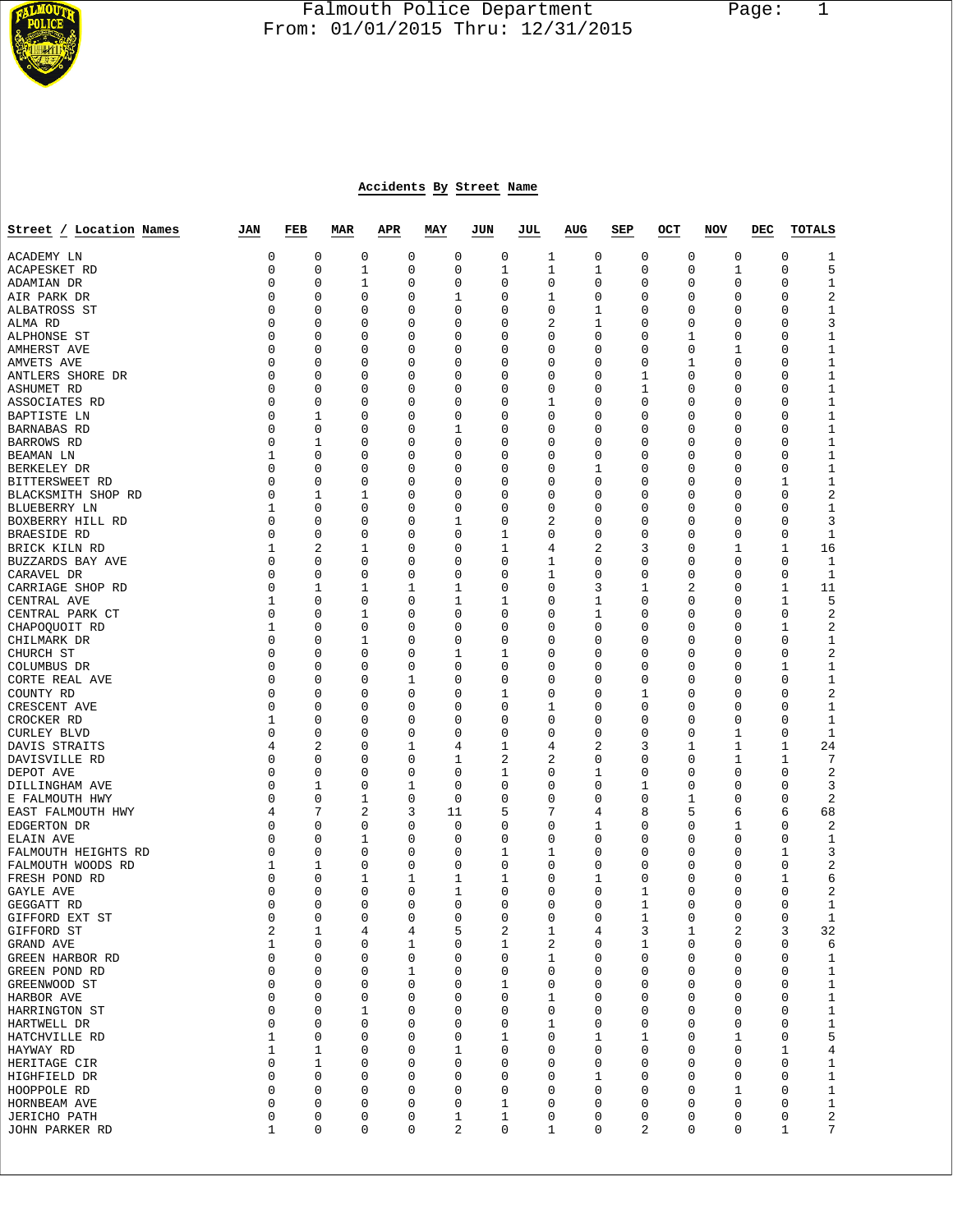

# Falmouth Police Department Page: 1  $\frac{1}{3}$  From: 01/01/2015 Thru: 12/31/2015

# **Accidents By Street Name**

| Street / Location Names            | JAN          | FEB              | MAR      | APR         | MAY           | JUN         | JUL          | AUG    | SEP      | OCT         | NOV      | DEC | TOTALS                         |
|------------------------------------|--------------|------------------|----------|-------------|---------------|-------------|--------------|--------|----------|-------------|----------|-----|--------------------------------|
| ACADEMY LN                         | 0            | 0                | 0        | 0           | $\mathbf 0$   | 0           | 1            | 0      | 0        | $\mathbf 0$ | 0        |     | 0<br>1                         |
| ACAPESKET RD                       | 0            | 0                | 1        | 0           | 0             | 1           | 1            | 1      | 0        | 0           | 1        |     | 5<br>0                         |
| ADAMIAN DR                         | 0            | 0                | 1        | 0           | 0             | $\mathbf 0$ | 0            | 0      | 0        | 0           | 0        |     | 0<br>$\mathbf 1$               |
| AIR PARK DR                        | 0            | 0                | 0        | 0           | 1             | 0           | 1            | 0      | 0        | 0           | 0        |     | 2<br>0                         |
| ALBATROSS ST                       | 0            | 0                | 0        | 0           | 0             | 0           | 0            | 1      | 0        | 0           | 0        |     | 0<br>1                         |
| ALMA RD                            | 0            | 0                | 0        | 0           | 0             | 0           | 2            | 1      | 0        | 0           | 0        |     | 3<br>0                         |
| ALPHONSE ST                        | 0            | 0                | 0        | 0           | 0             | 0           | 0            | 0      | 0        | 1           | 0        |     | $1\,$<br>0                     |
| AMHERST AVE                        | 0            | 0                | 0        | 0           | 0             | 0           | 0            | 0      | 0        | $\mathbf 0$ | 1        |     | $1\,$<br>0                     |
| AMVETS AVE                         | 0<br>0       | 0<br>0           | 0<br>0   | 0<br>0      | 0<br>0        | 0<br>0      | 0<br>0       | 0<br>0 | 0<br>1   | 1<br>0      | 0<br>0   |     | $1\,$<br>0<br>$1\,$<br>0       |
| ANTLERS SHORE DR<br>ASHUMET RD     | 0            | 0                | 0        | 0           | 0             | 0           | 0            | 0      | 1        | 0           | 0        |     | $1\,$<br>0                     |
| ASSOCIATES RD                      | 0            | 0                | 0        | 0           | 0             | 0           | 1            | 0      | $\Omega$ | 0           | 0        |     | $1\,$<br>0                     |
| <b>BAPTISTE LN</b>                 | 0            | 1                | 0        | 0           | 0             | 0           | 0            | 0      | 0        | 0           | 0        |     | $1\,$<br>0                     |
| BARNABAS RD                        | 0            | 0                | 0        | 0           | 1             | 0           | 0            | 0      | 0        | 0           | 0        |     | $1\,$<br>0                     |
| BARROWS RD                         | 0            | 1                | 0        | 0           | 0             | 0           | 0            | 0      | 0        | 0           | $\Omega$ |     | $1\,$<br>0                     |
| BEAMAN LN                          | $\mathbf{1}$ | 0                | 0        | 0           | 0             | 0           | 0            | 0      | 0        | 0           | 0        |     | $1\,$<br>0                     |
| BERKELEY DR                        | 0            | 0                | 0        | 0           | 0             | 0           | 0            | 1      | 0        | 0           | 0        |     | $1\,$<br>0                     |
| BITTERSWEET RD                     | $\Omega$     | 0                | 0        | 0           | 0             | 0           | 0            | 0      | 0        | 0           | $\Omega$ |     | $1\,$<br>1                     |
| BLACKSMITH SHOP RD                 | 0            | 1                | 1        | 0           | 0             | 0           | 0            | 0      | 0        | 0           | 0        |     | $\overline{2}$<br>0            |
| BLUEBERRY LN                       | 1            | 0                | 0        | 0           | 0             | 0           | 0            | 0      | 0        | 0           | 0        |     | 0<br>1                         |
| BOXBERRY HILL RD                   | 0            | 0<br>$\mathbf 0$ | 0        | 0           | 1<br>0        | 0           | 2            | 0      | 0        | 0           | 0        |     | 3<br>0                         |
| BRAESIDE RD<br>BRICK KILN RD       | 0<br>1       | 2                | 0<br>1   | 0<br>0      | 0             | 1<br>1      | 0<br>4       | 0<br>2 | 0<br>3   | 0<br>0      | 0<br>1   |     | 0<br>1<br>1<br>16              |
| BUZZARDS BAY AVE                   | $\Omega$     | 0                | 0        | 0           | 0             | 0           | 1            | 0      | 0        | 0           | 0        |     | 0<br>1                         |
| CARAVEL DR                         | 0            | 0                | 0        | 0           | 0             | 0           | $\mathbf{1}$ | 0      | 0        | 0           | 0        |     | 0<br>$\mathbf{1}$              |
| CARRIAGE SHOP RD                   | 0            | 1                | 1        | 1           | 1             | 0           | 0            | 3      | 1        | 2           | 0        |     | 1<br>11                        |
| CENTRAL AVE                        | 1            | 0                | 0        | 0           | 1             | 1           | 0            | 1      | 0        | 0           | 0        |     | 5<br>1                         |
| CENTRAL PARK CT                    | 0            | 0                | 1        | 0           | 0             | 0           | 0            | 1      | 0        | 0           | 0        |     | $\overline{2}$<br>0            |
| CHAPOOUOIT RD                      | 1            | 0                | 0        | 0           | 0             | 0           | 0            | 0      | 0        | 0           | 0        |     | 1<br>2                         |
| CHILMARK DR                        | 0            | 0                | 1        | 0           | 0             | 0           | 0            | 0      | 0        | 0           | 0        |     | $1\,$<br>0                     |
| CHURCH ST                          | 0            | 0                | 0        | 0           | 1             | 1           | 0            | 0      | 0        | 0           | 0        |     | 0<br>$\overline{2}$            |
| COLUMBUS DR                        | 0            | 0                | 0        | 0           | 0             | 0           | 0            | 0      | 0        | 0           | 0        |     | $1\,$<br>1                     |
| CORTE REAL AVE                     | 0            | 0                | 0        | 1           | 0             | 0           | 0            | 0      | 0        | 0           | 0        |     | $1\,$<br>0                     |
| COUNTY RD                          | 0<br>0       | $\mathbf 0$<br>0 | 0        | 0           | 0             | 1           | 0            | 0<br>0 | 1        | 0           | 0        |     | 2<br>0<br>0                    |
| CRESCENT AVE<br>CROCKER RD         | 1            | 0                | 0<br>0   | 0<br>0      | 0<br>0        | 0<br>0      | 1<br>0       | 0      | 0<br>0   | 0<br>0      | 0<br>0   |     | $\mathbf 1$<br>0<br>1          |
| <b>CURLEY BLVD</b>                 | 0            | 0                | 0        | 0           | 0             | 0           | 0            | 0      | 0        | 0           | 1        |     | $\mathbf{1}$<br>0              |
| DAVIS STRAITS                      | 4            | 2                | 0        | 1           | 4             | 1           | 4            | 2      | 3        | 1           | 1        |     | 1<br>24                        |
| DAVISVILLE RD                      | 0            | 0                | 0        | 0           | 1             | 2           | 2            | 0      | 0        | 0           | 1        |     | 1<br>7                         |
| DEPOT AVE                          | 0            | 0                | 0        | 0           | 0             | 1           | 0            | 1      | 0        | 0           | 0        |     | $\overline{2}$<br>0            |
| DILLINGHAM AVE                     | 0            | 1                | 0        | 1           | 0             | 0           | 0            | 0      | 1        | 0           | 0        |     | 0<br>3                         |
| E FALMOUTH HWY                     | $\Omega$     | 0                | 1        | 0           | $\mathbf 0$   | 0           | 0            | 0      | 0        | 1           | 0        |     | $\overline{2}$<br>0            |
| EAST FALMOUTH HWY                  | 4            | 7                | 2        | 3           | 11            | 5           | 7            | 4      | 8        | 5           | 6        |     | 68<br>6                        |
| EDGERTON DR                        | 0            | 0                | 0        | 0           | 0             | 0           | 0            | 1      | 0        | 0           | 1        |     | 0<br>2                         |
| ELAIN AVE                          | 0            | 0                | 1        | 0           | 0             | 0           | 0            | 0      | 0        | 0           | 0        |     | 0<br>$\mathbf 1$               |
| FALMOUTH HEIGHTS RD                | 0            | $\mathbf 0$      | 0        | 0           | 0             | 1<br>0      | 1            | 0<br>0 | 0        | 0           | 0        |     | 3<br>1<br>0                    |
| FALMOUTH WOODS RD<br>FRESH POND RD | 1<br>0       | 1<br>0           | 0<br>1   | 0<br>1      | 0<br>1        | 1           | 0<br>0       | 1      | 0<br>0   | 0<br>0      | 0<br>0   |     | 2<br>1<br>6                    |
| GAYLE AVE                          | 0            | 0                | 0        | 0           | $\mathbf 1$   | 0           | 0            | 0      | 1        | 0           | 0        |     | 0<br>$\overline{2}$            |
| GEGGATT RD                         | 0            | 0                | 0        | 0           | 0             | 0           | 0            | 0      | 1        | 0           | 0        |     | 0<br>1                         |
| GIFFORD EXT ST                     | 0            | $\Omega$         | $\Omega$ |             | 0<br>$\Omega$ | 0           | 0            | 0      | 1        | 0           | 0        |     | 0<br>1                         |
| GIFFORD ST                         | 2            | 1                | 4        | 4           | 5             | 2           | 1            | 4      | 3        | 1           | 2        |     | 3<br>32                        |
| GRAND AVE                          | 1            | 0                | 0        | 1           | 0             | 1           | 2            | 0      | 1        | 0           | 0        |     | 0<br>6                         |
| GREEN HARBOR RD                    | 0            | 0                | 0        | 0           | 0             | $\mathsf 0$ | 1            | 0      | 0        | 0           | 0        |     | 0<br>$\mathbf 1$               |
| GREEN POND RD                      | 0            | $\mathbf 0$      | 0        | 1           | 0             | 0           | 0            | 0      | 0        | 0           | 0        |     | $\mathbf 1$<br>0               |
| GREENWOOD ST                       | 0            | 0                | 0        | 0           | 0             | 1           | 0            | 0      | 0        | 0           | 0        |     | $\mathbf 1$<br>0               |
| HARBOR AVE                         | 0            | 0                | 0        | 0           | 0<br>0        | 0           | 1            | 0      | 0        | 0           | 0        |     | $\mathbf 1$<br>0               |
| HARRINGTON ST<br>HARTWELL DR       | 0<br>0       | 0<br>0           | 1<br>0   | 0<br>0      | 0             | 0<br>0      | 0<br>1       | 0<br>0 | 0<br>0   | 0<br>0      | 0<br>0   |     | $1\,$<br>0<br>$\mathbf 1$<br>0 |
| HATCHVILLE RD                      | 1            | 0                | 0        | 0           | 0             | 1           | 0            | 1      | 1        | 0           | 1        |     | 5<br>0                         |
| HAYWAY RD                          | $\mathbf 1$  | 1                | 0        | 0           | 1             | 0           | 0            | 0      | 0        | 0           | 0        |     | $\,4$<br>1                     |
| HERITAGE CIR                       | 0            | 1                | 0        | 0           | 0             | 0           | 0            | 0      | 0        | 0           | 0        |     | $\mathbf{1}$<br>0              |
| HIGHFIELD DR                       | 0            | 0                | 0        | 0           | 0             | 0           | 0            | 1      | 0        | 0           | 0        |     | $\mathbf 1$<br>0               |
| HOOPPOLE RD                        | 0            | 0                | 0        | 0           | 0             | 0           | 0            | 0      | 0        | 0           | 1        |     | $\mathbf 1$<br>0               |
| HORNBEAM AVE                       | 0            | 0                | 0        | 0           | 0             | 1           | 0            | 0      | 0        | 0           | 0        |     | $\mathbf 1$<br>0               |
| <b>JERICHO PATH</b>                | $\mathsf 0$  | 0                | 0        | 0           | $\mathbf 1$   | 1           | 0            | 0      | 0        | 0           | 0        |     | $\overline{a}$<br>0            |
| JOHN PARKER RD                     | $\mathbf 1$  | 0                | 0        | $\mathbf 0$ | 2             | 0           | 1            | 0      | 2        | 0           | 0        |     | 1<br>7                         |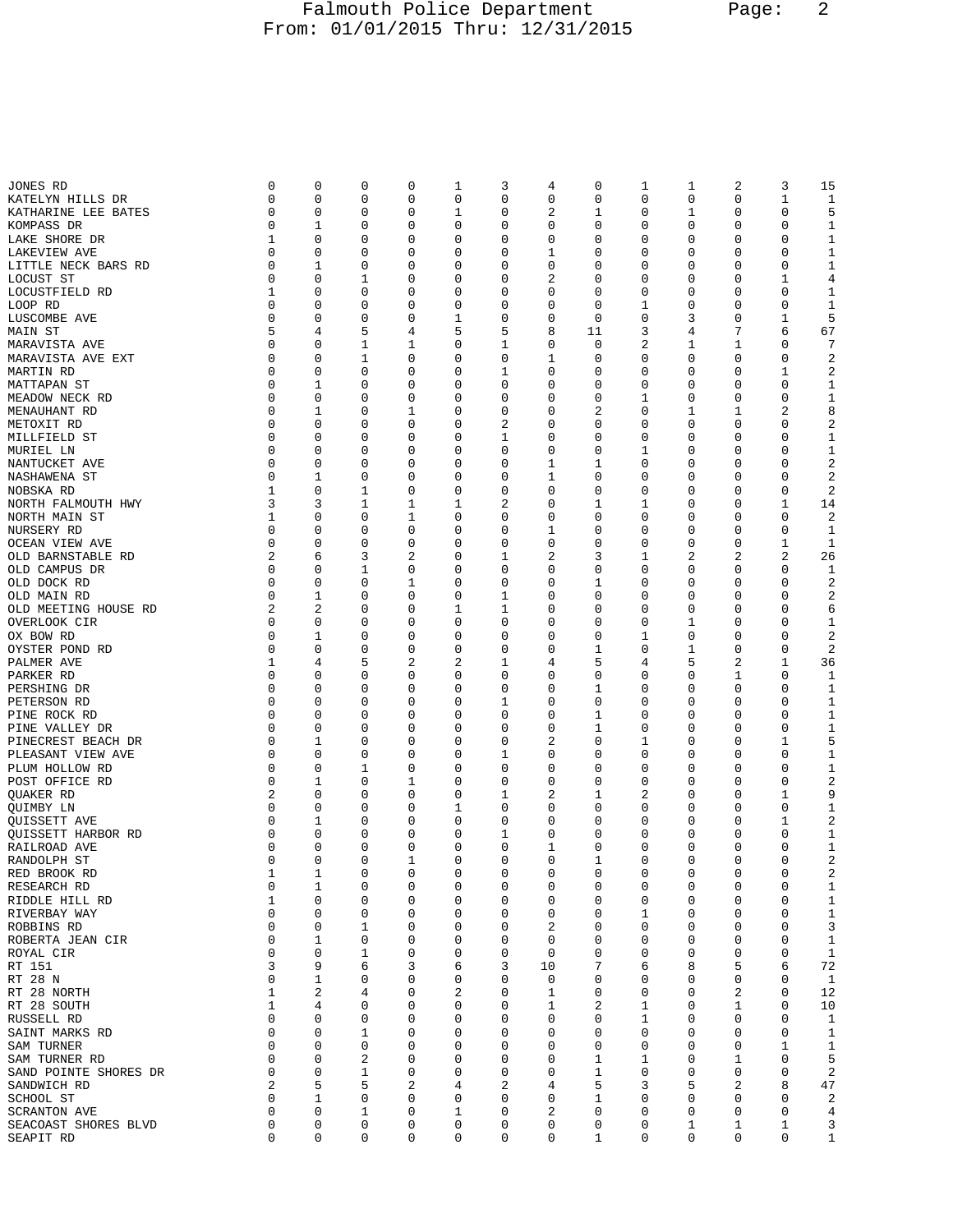## Falmouth Police Department Page: 2 From: 01/01/2015 Thru: 12/31/2015

| JONES RD                  | 0        | 0           | 0 | 0              | 1           | 3            | 4        | 0           | 1           | 1           | 2              | 3           | 15               |
|---------------------------|----------|-------------|---|----------------|-------------|--------------|----------|-------------|-------------|-------------|----------------|-------------|------------------|
| KATELYN HILLS DR          | 0        | 0           | 0 | $\mathbf 0$    | 0           | 0            | 0        | 0           | 0           | 0           | 0              | $\mathbf 1$ | 1                |
| KATHARINE LEE BATES       | 0        | 0           | 0 | 0              | 1           | 0            | 2        | 1           | 0           | 1           | 0              | 0           | 5                |
| KOMPASS DR                | 0        | 1           | 0 | 0              | 0           | 0            | 0        | 0           | 0           | 0           | 0              | $\mathbf 0$ | 1                |
| LAKE SHORE DR             | 1        | 0           | 0 | $\mathbf 0$    | 0           | 0            | 0        | 0           | 0           | 0           | 0              | $\mathbf 0$ | $\mathbf 1$      |
| LAKEVIEW AVE              | 0        | 0           | 0 | 0              | 0           | 0            | 1        | 0           | 0           | 0           | 0              | $\mathbf 0$ | $\mathbf 1$      |
|                           |          |             |   |                |             |              |          |             |             |             |                |             |                  |
| LITTLE NECK BARS RD       | 0        | 1           | 0 | 0              | 0           | 0            | 0        | 0           | 0           | 0           | 0              | 0           | 1                |
| LOCUST ST                 | 0        | 0           | 1 | 0              | 0           | 0            | 2        | 0           | 0           | 0           | 0              | 1           | 4                |
| LOCUSTFIELD RD            | 1        | 0           | 0 | 0              | 0           | 0            | 0        | 0           | 0           | 0           | 0              | 0           | 1                |
| LOOP RD                   | 0        | 0           | 0 | 0              | 0           | 0            | 0        | 0           | 1           | 0           | 0              | 0           | 1                |
| LUSCOMBE AVE              | 0        | 0           | 0 | 0              | 1           | 0            | 0        | $\mathbf 0$ | 0           | 3           | 0              | $\mathbf 1$ | 5                |
| MAIN ST                   | 5        | 4           | 5 | 4              | 5           | 5            | 8        | 11          | 3           | 4           | 7              | 6           | 67               |
|                           | 0        |             |   |                |             |              |          |             |             |             |                |             | 7                |
| MARAVISTA AVE             |          | 0           | 1 | 1              | 0           | 1            | 0        | 0           | 2           | 1           | 1              | 0           |                  |
| MARAVISTA AVE EXT         | 0        | 0           | 1 | 0              | 0           | 0            | 1        | 0           | 0           | 0           | 0              | 0           | 2                |
| MARTIN RD                 | 0        | 0           | 0 | 0              | 0           | 1            | 0        | 0           | 0           | 0           | 0              | 1           | 2                |
| MATTAPAN ST               | 0        | 1           | 0 | 0              | 0           | 0            | 0        | 0           | 0           | 0           | 0              | $\mathbf 0$ | 1                |
| MEADOW NECK RD            | 0        | $\mathbf 0$ | 0 | 0              | 0           | 0            | 0        | 0           | 1           | 0           | 0              | $\mathbf 0$ | $\mathbf{1}$     |
| MENAUHANT RD              | 0        | 1           | 0 | 1              | 0           | 0            | 0        | 2           | 0           | 1           | 1              | 2           | 8                |
|                           |          |             |   |                |             |              |          |             |             |             | 0              |             |                  |
| METOXIT RD                | 0        | 0           | 0 | 0              | 0           | 2            | 0        | 0           | 0           | 0           |                | 0           | 2                |
| MILLFIELD ST              | 0        | 0           | 0 | 0              | 0           | 1            | 0        | 0           | 0           | 0           | 0              | 0           | $\mathbf 1$      |
| MURIEL LN                 | 0        | 0           | 0 | 0              | 0           | 0            | 0        | 0           | 1           | 0           | 0              | 0           | 1                |
| NANTUCKET AVE             | 0        | 0           | 0 | 0              | 0           | 0            | 1        | 1           | 0           | 0           | 0              | 0           | 2                |
| NASHAWENA ST              | 0        | 1           | 0 | $\mathbf 0$    | 0           | 0            | 1        | 0           | 0           | 0           | 0              | $\mathbf 0$ | 2                |
| NOBSKA RD                 | 1        | 0           | 1 | 0              | 0           | 0            | 0        | 0           | 0           | 0           | 0              | 0           | 2                |
| NORTH FALMOUTH HWY        | 3        | 3           |   |                |             |              |          |             |             |             |                |             |                  |
|                           |          |             | 1 | 1              | 1           | 2            | 0        | 1           | 1           | 0           | 0              | 1           | 14               |
| NORTH MAIN ST             | 1        | 0           | 0 | $\mathbf 1$    | 0           | 0            | 0        | 0           | 0           | 0           | 0              | 0           | 2                |
| NURSERY RD                | 0        | 0           | 0 | 0              | 0           | 0            | 1        | 0           | 0           | 0           | 0              | 0           | 1                |
| OCEAN VIEW AVE            | 0        | 0           | 0 | 0              | 0           | 0            | 0        | 0           | 0           | 0           | 0              | 1           | 1                |
| OLD BARNSTABLE RD         | 2        | 6           | 3 | $\overline{2}$ | 0           | $\mathbf{1}$ | 2        | 3           | 1           | 2           | $\overline{2}$ | 2           | 26               |
| OLD CAMPUS DR             | 0        | 0           | 1 | 0              | 0           | 0            | 0        | 0           | 0           | 0           | 0              | $\mathbf 0$ | 1                |
|                           | 0        | 0           | 0 |                | 0           | 0            | 0        | 1           | 0           | 0           | 0              | 0           | 2                |
| OLD DOCK RD               |          |             |   | 1              |             |              |          |             |             |             |                |             |                  |
| OLD MAIN RD               | 0        | 1           | 0 | 0              | 0           | 1            | 0        | 0           | 0           | 0           | 0              | 0           | 2                |
| OLD MEETING HOUSE RD      | 2        | 2           | 0 | 0              | 1           | 1            | 0        | 0           | 0           | 0           | 0              | 0           | 6                |
| OVERLOOK CIR              | 0        | 0           | 0 | 0              | 0           | 0            | 0        | 0           | 0           | 1           | 0              | $\mathbf 0$ | 1                |
| OX BOW RD                 | 0        | 1           | 0 | 0              | 0           | 0            | 0        | 0           | 1           | 0           | 0              | $\mathbf 0$ | 2                |
| OYSTER POND RD            | 0        | 0           | 0 | 0              | 0           | 0            | 0        | 1           | 0           | 1           | 0              | 0           | 2                |
| PALMER AVE                | 1        | 4           | 5 | 2              | 2           | 1            | 4        | 5           | 4           | 5           | 2              | 1           | 36               |
| PARKER RD                 | 0        | 0           | 0 | 0              | 0           | 0            | 0        | 0           | 0           | 0           | 1              | $\mathbf 0$ | 1                |
|                           | 0        | 0           |   |                |             |              |          |             |             |             |                |             |                  |
| PERSHING DR               |          |             | 0 | 0              | 0           | 0            | 0        | 1           | 0           | 0           | 0              | 0           | 1                |
| PETERSON RD               | 0        | 0           | 0 | 0              | 0           | 1            | 0        | 0           | 0           | 0           | 0              | 0           | 1                |
| PINE ROCK RD              | 0        | 0           | 0 | 0              | 0           | $\mathbf 0$  | 0        | 1           | 0           | 0           | 0              | $\mathbf 0$ | $\mathbf{1}$     |
| PINE VALLEY DR            | 0        | 0           | 0 | 0              | 0           | 0            | 0        | 1           | 0           | 0           | 0              | 0           | $\mathbf 1$      |
| PINECREST BEACH DR        | 0        | 1           | 0 | 0              | 0           | 0            | 2        | 0           | 1           | 0           | 0              | 1           | 5                |
| PLEASANT VIEW AVE         | 0        | 0           | 0 | 0              | 0           | 1            | 0        | 0           | 0           | 0           | 0              | 0           | 1                |
| PLUM HOLLOW RD            | 0        | 0           | 1 | 0              | 0           | 0            | 0        | 0           | 0           | 0           | 0              | 0           | 1                |
| POST OFFICE RD            | 0        |             |   |                | 0           | 0            | 0        | 0           | 0           | 0           | 0              | 0           | 2                |
|                           |          | 1           | 0 | 1              |             |              |          |             |             |             |                |             |                  |
| QUAKER RD                 | 2        | 0           | 0 | $\mathbf 0$    | $\mathbf 0$ | 1            | 2        | 1           | 2           | 0           | 0              | $\mathbf 1$ | 9                |
| OUIMBY LN                 | 0        | 0           | 0 | 0              | 1           | 0            | 0        | 0           | 0           | 0           | 0              | 0           | 1                |
| <b>OUISSETT AVE</b>       | 0        | 1           | 0 | 0              | 0           | 0            | 0        | 0           | 0           | 0           | 0              | 1           | 2                |
| <b>OUISSETT HARBOR RD</b> | 0        | 0           | 0 | 0              | 0           | 1            | 0        | 0           | 0           | 0           | 0              | 0           | 1                |
| RAILROAD AVE              | 0        | 0           | 0 | 0              | 0           | 0            | 1        | 0           | 0           | 0           | 0              | 0           | 1                |
| RANDOLPH ST               | $\Omega$ | 0           | 0 | 1              | 0           | 0            | $\Omega$ | 1           | 0           | 0           | 0              | 0           | 2                |
| RED BROOK RD              | 1        | 1           | 0 | 0              | 0           | $\mathbf 0$  | 0        | 0           | $\mathbf 0$ | $\mathbf 0$ | 0              | $\mathbf 0$ | 2                |
|                           |          |             |   |                |             |              |          |             |             |             |                |             |                  |
| RESEARCH RD               | 0        | 1           | 0 | 0              | 0           | 0            | 0        | 0           | 0           | 0           | 0              | 0           | 1                |
| RIDDLE HILL RD            | 1        | 0           | 0 | 0              | 0           | 0            | 0        | 0           | 0           | 0           | 0              | 0           | $\mathbf 1$      |
| RIVERBAY WAY              | 0        | 0           | 0 | $\mathbf 0$    | 0           | 0            | 0        | 0           | 1           | 0           | 0              | $\mathbf 0$ | $\mathbf 1$      |
| ROBBINS RD                | 0        | 0           | 1 | 0              | 0           | 0            | 2        | 0           | 0           | 0           | 0              | $\mathbf 0$ | 3                |
| ROBERTA JEAN CIR          | 0        | 1           | 0 | 0              | 0           | 0            | 0        | 0           | 0           | 0           | 0              | 0           | 1                |
| ROYAL CIR                 | 0        | $\mathbf 0$ | 1 | $\mathsf 0$    | 0           | 0            | 0        | 0           | 0           | 0           | 0              | $\mathbf 0$ | $\mathbf{1}$     |
| RT 151                    | 3        | 9           | 6 | 3              | 6           | 3            | 10       | 7           | 6           | 8           | 5              | 6           | 72               |
|                           | 0        |             | 0 |                |             | 0            |          |             |             | 0           | 0              | 0           |                  |
| RT 28 N                   |          | 1           |   | 0              | 0           |              | 0        | 0           | 0           |             |                |             | 1                |
| RT 28 NORTH               | 1        | $\sqrt{2}$  | 4 | 0              | 2           | 0            | 1        | 0           | 0           | 0           | 2              | $\mathbf 0$ | 12               |
| RT 28 SOUTH               | 1        | 4           | 0 | 0              | 0           | 0            | 1        | 2           | 1           | 0           | 1              | $\mathbf 0$ | 10               |
| RUSSELL RD                | 0        | 0           | 0 | 0              | 0           | 0            | 0        | 0           | 1           | 0           | 0              | 0           | 1                |
| SAINT MARKS RD            | 0        | 0           | 1 | 0              | 0           | 0            | 0        | 0           | 0           | 0           | 0              | $\mathbf 0$ | 1                |
| SAM TURNER                | 0        | 0           | 0 | 0              | 0           | 0            | 0        | 0           | 0           | 0           | 0              | 1           | 1                |
| SAM TURNER RD             | 0        | 0           | 2 | 0              | 0           | 0            | 0        | 1           | 1           | 0           | 1              | $\mathbf 0$ | 5                |
| SAND POINTE SHORES DR     | 0        | 0           | 1 | 0              | 0           | 0            | 0        | 1           | 0           | 0           | 0              | $\mathbf 0$ | $\boldsymbol{2}$ |
|                           | 2        | 5           | 5 | 2              | 4           | 2            | 4        | 5           | 3           | 5           | 2              | 8           | 47               |
| SANDWICH RD               |          |             |   |                |             |              |          |             |             |             |                |             |                  |
| SCHOOL ST                 | 0        | 1           | 0 | 0              | 0           | 0            | 0        | 1           | 0           | 0           | 0              | 0           | 2                |
| <b>SCRANTON AVE</b>       | 0        | $\mathbf 0$ | 1 | 0              | 1           | 0            | 2        | 0           | 0           | 0           | 0              | $\mathbf 0$ | 4                |
| SEACOAST SHORES BLVD      | 0        | 0           | 0 | 0              | 0           | 0            | 0        | 0           | 0           | 1           | 1              | 1           | 3                |
| SEAPIT RD                 | 0        | 0           | 0 | $\mathsf 0$    | 0           | 0            | 0        | 1           | 0           | 0           | 0              | $\mathbf 0$ | $\mathbf{1}$     |